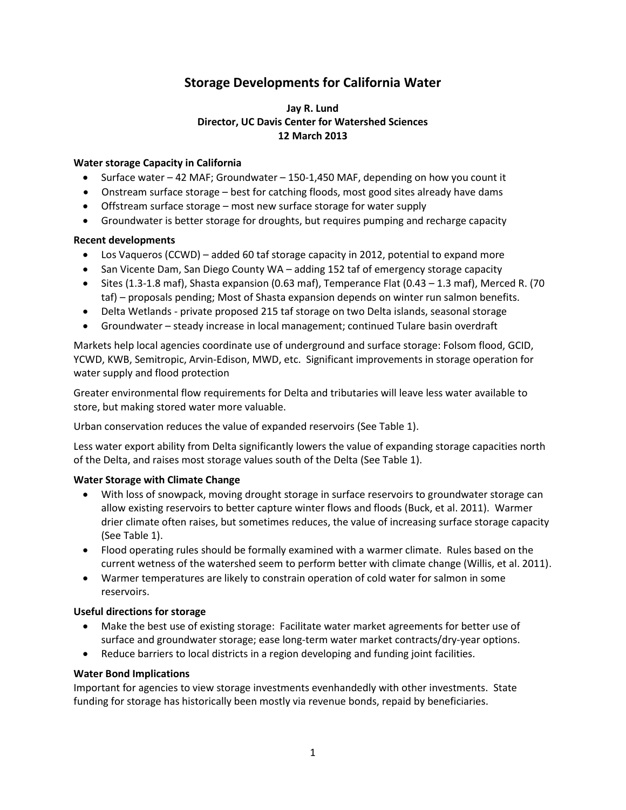# **Storage Developments for California Water**

#### **Jay R. Lund Director, UC Davis Center for Watershed Sciences 12 March 2013**

#### **Water storage Capacity in California**

- Surface water  $-42$  MAF; Groundwater  $-150$ -1,450 MAF, depending on how you count it
- Onstream surface storage best for catching floods, most good sites already have dams
- Offstream surface storage most new surface storage for water supply
- Groundwater is better storage for droughts, but requires pumping and recharge capacity

#### **Recent developments**

- Los Vaqueros (CCWD) added 60 taf storage capacity in 2012, potential to expand more
- San Vicente Dam, San Diego County WA adding 152 taf of emergency storage capacity
- $\bullet$  Sites (1.3-1.8 maf), Shasta expansion (0.63 maf), Temperance Flat (0.43 1.3 maf), Merced R. (70 taf) – proposals pending; Most of Shasta expansion depends on winter run salmon benefits.
- Delta Wetlands private proposed 215 taf storage on two Delta islands, seasonal storage
- Groundwater steady increase in local management; continued Tulare basin overdraft

Markets help local agencies coordinate use of underground and surface storage: Folsom flood, GCID, YCWD, KWB, Semitropic, Arvin-Edison, MWD, etc. Significant improvements in storage operation for water supply and flood protection

Greater environmental flow requirements for Delta and tributaries will leave less water available to store, but making stored water more valuable.

Urban conservation reduces the value of expanded reservoirs (See Table 1).

Less water export ability from Delta significantly lowers the value of expanding storage capacities north of the Delta, and raises most storage values south of the Delta (See Table 1).

#### **Water Storage with Climate Change**

- With loss of snowpack, moving drought storage in surface reservoirs to groundwater storage can allow existing reservoirs to better capture winter flows and floods (Buck, et al. 2011). Warmer drier climate often raises, but sometimes reduces, the value of increasing surface storage capacity (See Table 1).
- Flood operating rules should be formally examined with a warmer climate. Rules based on the current wetness of the watershed seem to perform better with climate change (Willis, et al. 2011).
- Warmer temperatures are likely to constrain operation of cold water for salmon in some reservoirs.

#### **Useful directions for storage**

- Make the best use of existing storage: Facilitate water market agreements for better use of surface and groundwater storage; ease long-term water market contracts/dry-year options.
- Reduce barriers to local districts in a region developing and funding joint facilities.

#### **Water Bond Implications**

Important for agencies to view storage investments evenhandedly with other investments. State funding for storage has historically been mostly via revenue bonds, repaid by beneficiaries.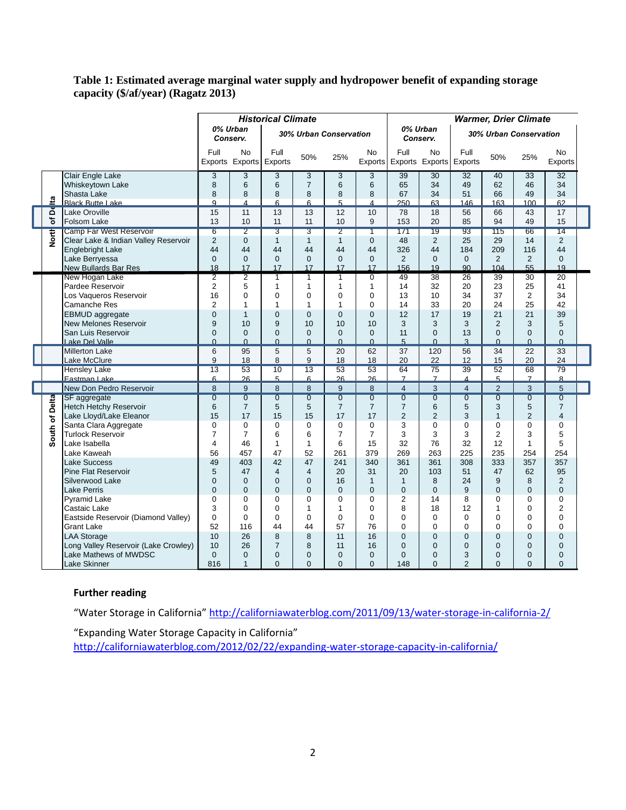#### **Table 1: Estimated average marginal water supply and hydropower benefit of expanding storage capacity (\$/af/year) (Ragatz 2013)**

|                     |                                       | <b>Historical Climate</b> |                       |                           |                           |                |                           | <b>Warmer, Drier Climate</b> |                 |                         |                |                 |                 |
|---------------------|---------------------------------------|---------------------------|-----------------------|---------------------------|---------------------------|----------------|---------------------------|------------------------------|-----------------|-------------------------|----------------|-----------------|-----------------|
|                     |                                       | 0% Urban                  | Conserv.              | 30% Urban Conservation    |                           |                |                           | 0% Urban<br>Conserv.         |                 | 30% Urban Conservation  |                |                 |                 |
|                     |                                       | Full                      | No<br>Exports Exports | Full<br>Exports           | 50%                       | 25%            | N <sub>o</sub><br>Exports | Full<br>Exports Exports      | <b>No</b>       | Full<br>Exports         | 50%            | 25%             | No.<br>Exports  |
| ৽                   | Clair Engle Lake                      | 3                         | 3                     | 3                         | 3                         | 3              | 3                         | 39                           | 30              | 32                      | 40             | 33              | 32              |
|                     | Whiskeytown Lake                      | 8                         | 6                     | 6                         | $\overline{7}$            | 6              | 6                         | 65                           | 34              | 49                      | 62             | 46              | 34              |
|                     | Shasta Lake                           | 8                         | 8                     | 8                         | 8                         | 8              | 8                         | 67                           | 34              | 51                      | 66             | 49              | 34              |
|                     | <b>Black Butte Lake</b>               | 9                         | 4                     | 6                         | 6                         | 5              | 4                         | 250                          | 63              | 146                     | 163            | 100             | 62              |
| ă<br>৳<br>North     | Lake Oroville                         | 15                        | 11                    | 13                        | 13                        | 12             | 10                        | 78                           | 18              | 56                      | 66             | 43              | 17              |
|                     | <b>Folsom Lake</b>                    | 13                        | 10                    | 11                        | 11                        | 10             | 9                         | 153                          | 20              | 85                      | 94             | 49              | 15              |
|                     | <b>Camp Far West Reservoir</b>        | 6                         | $\overline{2}$        | $\overline{\overline{3}}$ | $\overline{\overline{3}}$ | $\overline{2}$ | T                         | 171                          | 19              | 93                      | 115            | 66              | 14              |
|                     | Clear Lake & Indian Valley Reservoir  | $\overline{2}$            | 0                     | $\mathbf{1}$              | $\mathbf{1}$              | $\mathbf{1}$   | $\overline{0}$            | 48                           | $\overline{2}$  | 25                      | 29             | 14              | $\overline{2}$  |
|                     | Englebright Lake                      | 44                        | 44                    | 44                        | 44                        | 44             | 44                        | 326                          | 44              | 184                     | 209            | 116             | 44              |
|                     | Lake Berryessa                        | $\Omega$                  | $\Omega$              | $\overline{0}$            | $\mathbf{0}$              | $\mathbf{0}$   | $\mathbf{0}$              | 2                            | $\Omega$        | $\Omega$                | 2              | 2               | $\mathbf{0}$    |
|                     | New Bullards Bar Res                  | 18                        | 17                    | 17                        | 17                        | 17             | 17                        | 156                          | 19              | 90                      | 104            | 55              | 19              |
|                     | New Hogan Lake                        | $\overline{2}$            | 2                     | $\overline{1}$            | 1                         | $\overline{1}$ | $\overline{0}$            | 49                           | 38              | $\overline{26}$         | 39             | $\overline{30}$ | $\overline{20}$ |
|                     | Pardee Reservoir                      | $\overline{2}$            | 5                     | $\mathbf{1}$              | $\mathbf{1}$              | $\mathbf{1}$   | 1                         | 14                           | 32              | 20                      | 23             | 25              | 41              |
|                     | Los Vaqueros Reservoir                | 16                        | $\Omega$              | 0                         | 0                         | 0              | 0                         | 13                           | 10              | 34                      | 37             | 2               | 34              |
|                     | Camanche Res                          | $\overline{2}$            | 1                     | 1                         | 1                         | $\mathbf 1$    | $\Omega$                  | 14                           | 33              | 20                      | 24             | 25              | 42              |
|                     | <b>EBMUD</b> aggregate                | $\Omega$                  | $\mathbf{1}$          | $\overline{0}$            | $\Omega$                  | $\Omega$       | $\Omega$                  | 12                           | 17              | 19                      | 21             | 21              | 39              |
|                     | New Melones Reservoir                 | 9                         | 10                    | 9                         | 10                        | 10             | 10                        | 3                            | 3               | 3                       | $\overline{2}$ | 3               | 5               |
|                     | San Luis Reservoir                    | $\Omega$                  | $\Omega$              | $\overline{0}$            | $\Omega$                  | $\Omega$       | $\mathbf{0}$<br>$\Omega$  | 11                           | $\Omega$        | 13                      | $\Omega$       | $\Omega$        | $\Omega$        |
|                     | Lake Del Valle                        | $\Omega$<br>6             | $\Omega$              | $\overline{0}$            | $\Omega$                  | $\Omega$       | 62                        | 5<br>37                      | $\Omega$<br>120 | 3                       | $\Omega$<br>34 | $\Omega$        | $\Omega$        |
|                     | <b>Millerton Lake</b><br>Lake McClure | 9                         | 95<br>18              | 5<br>8                    | 5<br>9                    | 20<br>18       | 18                        | 20                           | 22              | 56<br>12                | 15             | 22<br>20        | 33<br>24        |
|                     | <b>Hensley Lake</b>                   | $\overline{13}$           | 53                    | 10                        | $\overline{13}$           | 53             | 53                        | 64                           | $\overline{75}$ | 39                      | 52             | 68              | 79              |
|                     | Fastman Lake                          | 6                         | 26                    | 5                         | 6                         | 26             | 26                        | $\overline{7}$               | $\overline{7}$  | $\overline{\mathbf{A}}$ | 5              | $\overline{7}$  | $\mathbf{8}$    |
|                     | New Don Pedro Reservoir               | 8                         | 9                     | 8                         | 8                         | 9              | 8                         | $\overline{4}$               | 3               | $\overline{4}$          | $\overline{2}$ | 3               | 5               |
| Delta<br>৳<br>South | <b>SF</b> aggregate                   | $\overline{0}$            | $\overline{0}$        | $\overline{0}$            | $\overline{0}$            | $\overline{0}$ | $\overline{0}$            | $\overline{0}$               | $\overline{0}$  | $\overline{0}$          | $\overline{0}$ | $\overline{0}$  | $\overline{0}$  |
|                     | Hetch Hetchy Reservoir                | 6                         | $\overline{7}$        | 5                         | 5                         | $\overline{7}$ | $\overline{7}$            | $\overline{7}$               | 6               | 5                       | 3              | 5               | $\overline{7}$  |
|                     | Lake Lloyd/Lake Eleanor               | 15                        | 17                    | 15                        | 15                        | 17             | 17                        | $\overline{2}$               | $\overline{2}$  | 3                       | $\mathbf{1}$   | $\overline{2}$  | $\overline{4}$  |
|                     | Santa Clara Aggregate                 | 0                         | 0                     | 0                         | 0                         | 0              | 0                         | 3                            | 0               | 0                       | $\Omega$       | $\mathbf 0$     | 0               |
|                     | <b>Turlock Reservoir</b>              | 7                         | 7                     | 6                         | 6                         | $\overline{7}$ | $\overline{7}$            | 3                            | 3               | 3                       | $\overline{2}$ | 3               | 5               |
|                     | lLake Isabella                        | 4                         | 46                    | $\mathbf{1}$              | $\mathbf{1}$              | 6              | 15                        | 32                           | 76              | 32                      | 12             | $\mathbf{1}$    | 5               |
|                     | Lake Kaweah                           | 56                        | 457                   | 47                        | 52                        | 261            | 379                       | 269                          | 263             | 225                     | 235            | 254             | 254             |
|                     | <b>Lake Success</b>                   | 49                        | 403                   | 42                        | 47                        | 241            | 340                       | 361                          | 361             | 308                     | 333            | 357             | 357             |
|                     | Pine Flat Reservoir                   | 5                         | 47                    | 4                         | $\overline{4}$            | 20             | 31                        | 20                           | 103             | 51                      | 47             | 62              | 95              |
|                     | Silverwood Lake                       | $\Omega$                  | $\Omega$              | $\overline{0}$            | $\overline{0}$            | 16             | $\mathbf{1}$              | $\mathbf{1}$                 | 8               | 24                      | 9              | 8               | 2               |
|                     | Lake Perris                           | $\Omega$                  | $\Omega$              | $\Omega$                  | $\Omega$                  | $\mathbf 0$    | $\overline{0}$            | $\overline{0}$               | $\Omega$        | 9                       | $\Omega$       | $\Omega$        | $\Omega$        |
|                     | <b>Pyramid Lake</b>                   | $\Omega$                  | $\Omega$              | $\overline{0}$            | $\Omega$                  | 0              | 0                         | $\overline{2}$               | 14              | 8                       | $\Omega$       | $\Omega$        | $\Omega$        |
|                     | Castaic Lake                          | 3                         | $\Omega$              | $\Omega$                  | 1                         | $\mathbf 1$    | $\Omega$                  | 8                            | 18              | 12                      | 1              | $\Omega$        | $\overline{2}$  |
|                     | Eastside Reservoir (Diamond Valley)   | $\Omega$                  | $\Omega$              | 0                         | 0                         | $\mathbf 0$    | $\mathbf 0$               | $\mathbf 0$                  | 0               | 0                       | $\Omega$       | $\mathbf 0$     | $\Omega$        |
|                     | <b>Grant Lake</b>                     | 52                        | 116                   | 44                        | 44                        | 57             | 76                        | $\mathbf 0$                  | $\Omega$        | $\Omega$                | $\Omega$       | $\Omega$        | $\Omega$        |
|                     | <b>LAA Storage</b>                    | 10                        | 26                    | 8                         | 8                         | 11             | 16                        | $\mathbf{0}$                 | $\Omega$        | $\Omega$                | $\Omega$       | $\Omega$        | $\Omega$        |
|                     | Long Valley Reservoir (Lake Crowley)  | 10                        | 26                    | $\overline{7}$            | 8                         | 11             | 16                        | $\mathbf{0}$                 | $\Omega$        | $\Omega$                | $\Omega$       | $\overline{0}$  | $\Omega$        |
|                     | Lake Mathews of MWDSC                 | $\Omega$                  | 0                     | $\overline{0}$            | $\mathbf 0$               | $\mathbf{0}$   | $\overline{0}$            | $\mathbf{0}$                 | 0               | 3                       | $\overline{0}$ | $\mathbf 0$     | $\mathbf{0}$    |
|                     | <b>Lake Skinner</b>                   | 816                       | $\mathbf{1}$          | $\Omega$                  | $\Omega$                  | $\Omega$       | $\Omega$                  | 148                          | $\Omega$        | $\overline{2}$          | $\Omega$       | $\Omega$        | $\Omega$        |

### **Further reading**

"Water Storage in California" <http://californiawaterblog.com/2011/09/13/water-storage-in-california-2/>

"Expanding Water Storage Capacity in California"

<http://californiawaterblog.com/2012/02/22/expanding-water-storage-capacity-in-california/>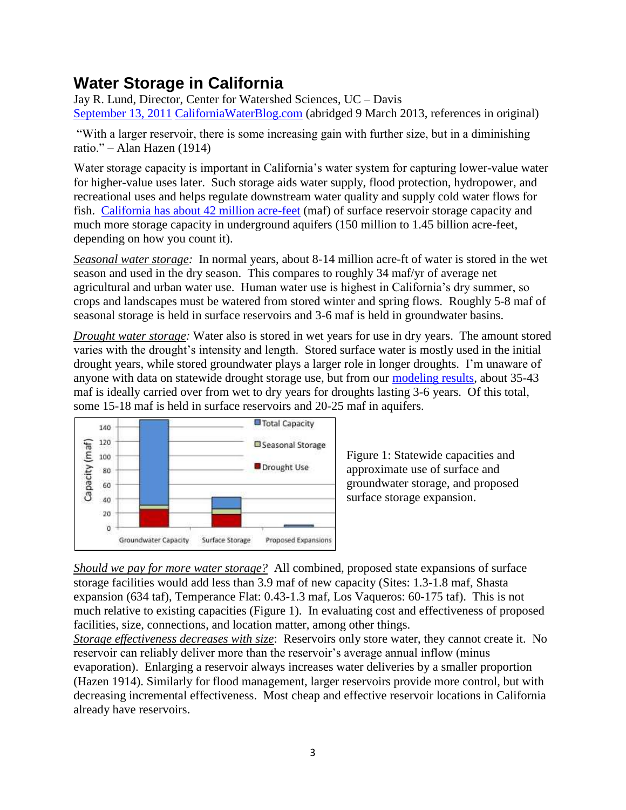# **Water Storage in California**

Jay R. Lund, Director, Center for Watershed Sciences, UC – Davis [September 13, 2011](http://californiawaterblog.com/2011/09/13/water-storage-in-california-2/) [CaliforniaWaterBlog.com](http://californiawaterblog.com/2011/09/13/water-storage-in-california-2/) (abridged 9 March 2013, references in original)

"With a larger reservoir, there is some increasing gain with further size, but in a diminishing ratio." – Alan Hazen (1914)

Water storage capacity is important in California's water system for capturing lower-value water for higher-value uses later. Such storage aids water supply, flood protection, hydropower, and recreational uses and helps regulate downstream water quality and supply cold water flows for fish. [California has about 42 million acre-feet](http://www.amazon.com/Managing-California-Water-Conflict-Reconciliation/dp/1582131414/ref=sr_1_1?s=books&ie=UTF8&qid=1298045461&sr=1-1) (maf) of surface reservoir storage capacity and much more storage capacity in underground aquifers (150 million to 1.45 billion acre-feet, depending on how you count it).

*Seasonal water storage:* In normal years, about 8-14 million acre-ft of water is stored in the wet season and used in the dry season. This compares to roughly 34 maf/yr of average net agricultural and urban water use. Human water use is highest in California's dry summer, so crops and landscapes must be watered from stored winter and spring flows. Roughly 5-8 maf of seasonal storage is held in surface reservoirs and 3-6 maf is held in groundwater basins.

*Drought water storage:* Water also is stored in wet years for use in dry years. The amount stored varies with the drought's intensity and length. Stored surface water is mostly used in the initial drought years, while stored groundwater plays a larger role in longer droughts. I'm unaware of anyone with data on statewide drought storage use, but from our [modeling results,](http://cee.engr.ucdavis.edu/faculty/lund/CALVIN/) about 35-43 maf is ideally carried over from wet to dry years for droughts lasting 3-6 years. Of this total, some 15-18 maf is held in surface reservoirs and 20-25 maf in aquifers.



Figure 1: Statewide capacities and approximate use of surface and groundwater storage, and proposed surface storage expansion.

*Should we pay for more water storage?* All combined, proposed state expansions of surface storage facilities would add less than 3.9 maf of new capacity (Sites: 1.3-1.8 maf, Shasta expansion (634 taf), Temperance Flat: 0.43-1.3 maf, Los Vaqueros: 60-175 taf). This is not much relative to existing capacities (Figure 1). In evaluating cost and effectiveness of proposed facilities, size, connections, and location matter, among other things.

*Storage effectiveness decreases with size*: Reservoirs only store water, they cannot create it. No reservoir can reliably deliver more than the reservoir's average annual inflow (minus evaporation). Enlarging a reservoir always increases water deliveries by a smaller proportion (Hazen 1914). Similarly for flood management, larger reservoirs provide more control, but with decreasing incremental effectiveness. Most cheap and effective reservoir locations in California already have reservoirs.